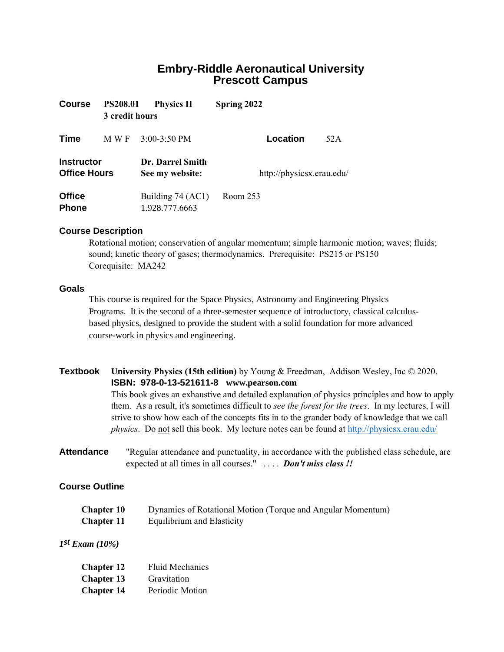# **Embry-Riddle Aeronautical University Prescott Campus**

| <b>Course</b>                            | <b>PS208.01</b><br>3 credit hours | <b>Physics II</b>                   | Spring 2022               |     |
|------------------------------------------|-----------------------------------|-------------------------------------|---------------------------|-----|
| Time                                     | M W F                             | $3:00-3:50$ PM                      | Location                  | 52A |
| <b>Instructor</b><br><b>Office Hours</b> |                                   | Dr. Darrel Smith<br>See my website: | http://physicsx.erau.edu/ |     |
| <b>Office</b><br><b>Phone</b>            |                                   | Building 74 (AC1)<br>1.928.777.6663 | Room 253                  |     |

## **Course Description**

Rotational motion; conservation of angular momentum; simple harmonic motion; waves; fluids; sound; kinetic theory of gases; thermodynamics. Prerequisite: PS215 or PS150 Corequisite: MA242

#### **Goals**

This course is required for the Space Physics, Astronomy and Engineering Physics Programs. It is the second of a three-semester sequence of introductory, classical calculusbased physics, designed to provide the student with a solid foundation for more advanced course-work in physics and engineering.

# **Textbook University Physics (15th edition)** by Young & Freedman, Addison Wesley, Inc © 2020. **ISBN: 978-0-13-521611-8 www.pearson.com**

This book gives an exhaustive and detailed explanation of physics principles and how to apply them. As a result, it's sometimes difficult to *see the forest for the trees*. In my lectures, I will strive to show how each of the concepts fits in to the grander body of knowledge that we call *physics*. Do not sell this book. My lecture notes can be found at<http://physicsx.erau.edu/>

**Attendance** "Regular attendance and punctuality, in accordance with the published class schedule, are expected at all times in all courses." . . . . *Don't miss class !!*

## **Course Outline**

| <b>Chapter 10</b> | Dynamics of Rotational Motion (Torque and Angular Momentum) |
|-------------------|-------------------------------------------------------------|
| <b>Chapter 11</b> | Equilibrium and Elasticity                                  |

# *1 st Exam (10%)*

| <b>Chapter 12</b> | <b>Fluid Mechanics</b> |
|-------------------|------------------------|
| <b>Chapter 13</b> | Gravitation            |
| <b>Chapter 14</b> | Periodic Motion        |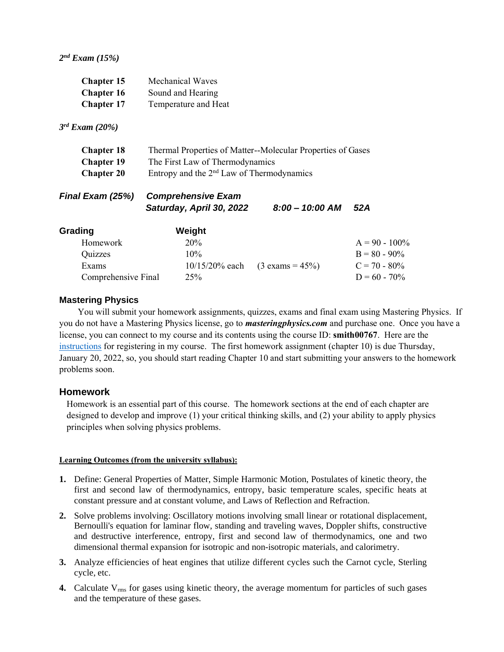*2 nd Exam (15%)* 

| <b>Chapter 15</b><br><b>Chapter 16</b><br><b>Chapter 17</b>    | <b>Mechanical Waves</b><br>Sound and Hearing<br>Temperature and Heat                                                                          |                            |                                                                           |  |  |  |
|----------------------------------------------------------------|-----------------------------------------------------------------------------------------------------------------------------------------------|----------------------------|---------------------------------------------------------------------------|--|--|--|
| $3^{rd}$ Exam (20%)                                            |                                                                                                                                               |                            |                                                                           |  |  |  |
| <b>Chapter 18</b><br><b>Chapter 19</b><br><b>Chapter 20</b>    | Thermal Properties of Matter--Molecular Properties of Gases<br>The First Law of Thermodynamics<br>Entropy and the $2nd$ Law of Thermodynamics |                            |                                                                           |  |  |  |
| Final Exam (25%)                                               | <b>Comprehensive Exam</b><br>Saturday, April 30, 2022                                                                                         | $8:00 - 10:00$ AM          | 52A                                                                       |  |  |  |
| Grading<br>Homework<br>Quizzes<br>Exams<br>Comprehensive Final | Weight<br>20%<br>$10\%$<br>$10/15/20%$ each<br>25%                                                                                            | $(3 \text{ exams} = 45\%)$ | $A = 90 - 100\%$<br>$B = 80 - 90\%$<br>$C = 70 - 80\%$<br>$D = 60 - 70\%$ |  |  |  |

## **Mastering Physics**

You will submit your homework assignments, quizzes, exams and final exam using Mastering Physics. If you do not have a Mastering Physics license, go to *masteringphysics.com* and purchase one. Once you have a license, you can connect to my course and its contents using the course ID: **smith00767**. Here are the [instructions](https://physicsx.erau.edu/Courses/CoursesS2022/PS208/Student_Registration_Handout_smith00767.pdf) for registering in my course. The first homework assignment (chapter 10) is due Thursday, January 20, 2022, so, you should start reading Chapter 10 and start submitting your answers to the homework problems soon.

## **Homework**

Homework is an essential part of this course. The homework sections at the end of each chapter are designed to develop and improve (1) your critical thinking skills, and (2) your ability to apply physics principles when solving physics problems.

## **Learning Outcomes (from the university syllabus):**

- **1.** Define: General Properties of Matter, Simple Harmonic Motion, Postulates of kinetic theory, the first and second law of thermodynamics, entropy, basic temperature scales, specific heats at constant pressure and at constant volume, and Laws of Reflection and Refraction.
- **2.** Solve problems involving: Oscillatory motions involving small linear or rotational displacement, Bernoulli's equation for laminar flow, standing and traveling waves, Doppler shifts, constructive and destructive interference, entropy, first and second law of thermodynamics, one and two dimensional thermal expansion for isotropic and non-isotropic materials, and calorimetry.
- **3.** Analyze efficiencies of heat engines that utilize different cycles such the Carnot cycle, Sterling cycle, etc.
- **4.** Calculate V<sub>rms</sub> for gases using kinetic theory, the average momentum for particles of such gases and the temperature of these gases.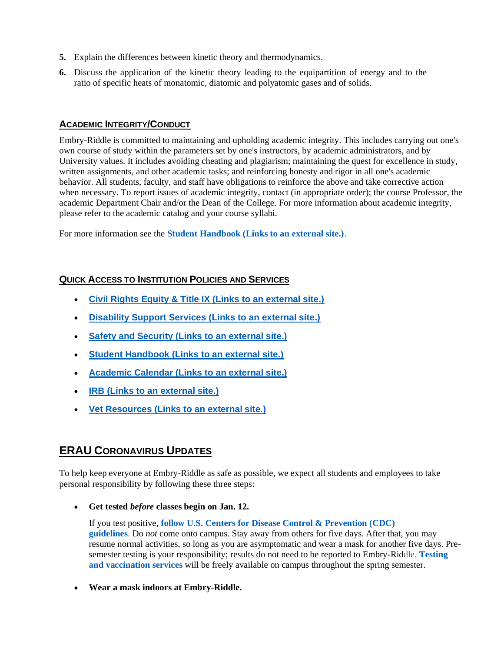- **5.** Explain the differences between kinetic theory and thermodynamics.
- **6.** Discuss the application of the kinetic theory leading to the equipartition of energy and to the ratio of specific heats of monatomic, diatomic and polyatomic gases and of solids.

# **ACADEMIC INTEGRITY/CONDUCT**

Embry-Riddle is committed to maintaining and upholding academic integrity. This includes carrying out one's own course of study within the parameters set by one's instructors, by academic administrators, and by University values. It includes avoiding cheating and plagiarism; maintaining the quest for excellence in study, written assignments, and other academic tasks; and reinforcing honesty and rigor in all one's academic behavior. All students, faculty, and staff have obligations to reinforce the above and take corrective action when necessary. To report issues of academic integrity, contact (in appropriate order); the course Professor, the academic Department Chair and/or the Dean of the College. For more information about academic integrity, please refer to the academic catalog and your course syllabi.

For more information see the **[Student Handbook \(Links to an external site.\)](https://prescott.erau.edu/-/media/files/prescott/campus-life/dean-of-students/prescott-student-handbook.pdf)**.

# **QUICK ACCESS TO INSTITUTION POLICIES AND SERVICES**

- **[Civil Rights Equity & Title IX \(Links to an external site.\)](https://erau.edu/leadership/title-ix/)**
- **[Disability Support Services \(Links to an external site.\)](http://prescott.erau.edu/about/disability-support/index.html)**
- **[Safety and Security \(Links to an external site.\)](http://prescott.erau.edu/about/security)**
- **[Student Handbook \(Links to an external site.\)](https://prescott.erau.edu/-/media/files/prescott/campus-life/dean-of-students/prescott-student-handbook.pdf)**
- **[Academic Calendar \(Links to an external site.\)](http://prescott.erau.edu/campus-life/academic-calendar)**
- **[IRB \(Links to an external site.\)](https://erau.edu/research/resources/irb/)**
- **[Vet Resources \(Links to an external site.\)](https://prescott.erau.edu/veterans-resources/)**

# **ERAU CORONAVIRUS UPDATES**

To help keep everyone at Embry-Riddle as safe as possible, we expect all students and employees to take personal responsibility by following these three steps:

• **Get tested** *before* **classes begin on Jan. 12.**

If you test positive, **[follow U.S. Centers for Disease Control & Prevention \(CDC\)](https://www.cdc.gov/media/releases/2021/s1227-isolation-quarantine-guidance.html)  [guidelines](https://www.cdc.gov/media/releases/2021/s1227-isolation-quarantine-guidance.html)**. Do *not* come onto campus. Stay away from others for five days. After that, you may resume normal activities, so long as you are asymptomatic and wear a mask for another five days. Presemester testing is your responsibility; results do not need to be reported to Embry-Riddle. **[Testing](https://erau.edu/coronavirus/on-campus-vaccination-clinics)  [and vaccination services](https://erau.edu/coronavirus/on-campus-vaccination-clinics)** will be freely available on campus throughout the spring semester.

• **Wear a mask indoors at Embry-Riddle.**